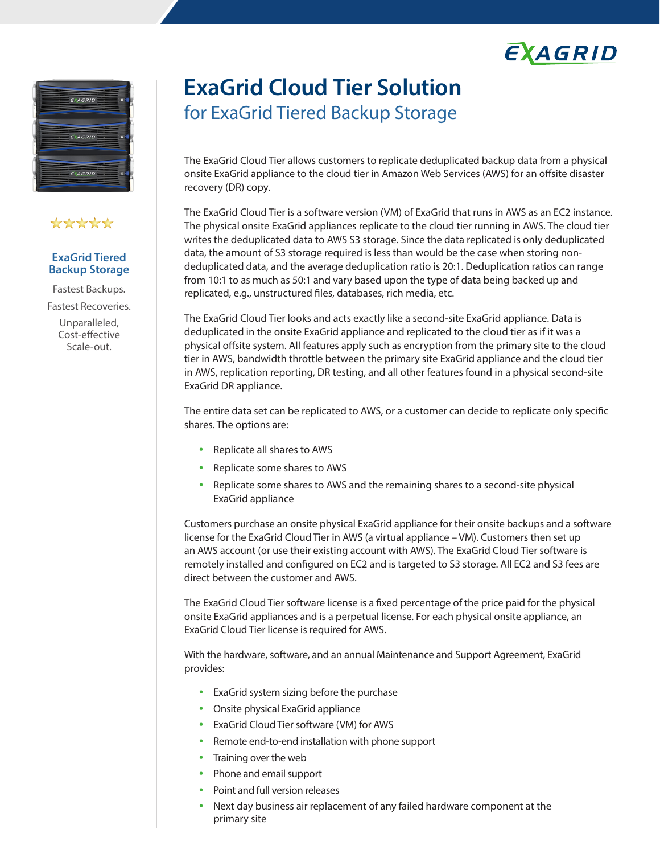



## \*\*\*\*\*

#### **ExaGrid Tiered Backup Storage**

Fastest Backups. Fastest Recoveries. Unparalleled,

Cost-effective Scale-out.

# **ExaGrid Cloud Tier Solution** for ExaGrid Tiered Backup Storage

The ExaGrid Cloud Tier allows customers to replicate deduplicated backup data from a physical onsite ExaGrid appliance to the cloud tier in Amazon Web Services (AWS) for an offsite disaster recovery (DR) copy.

The ExaGrid Cloud Tier is a software version (VM) of ExaGrid that runs in AWS as an EC2 instance. The physical onsite ExaGrid appliances replicate to the cloud tier running in AWS. The cloud tier writes the deduplicated data to AWS S3 storage. Since the data replicated is only deduplicated data, the amount of S3 storage required is less than would be the case when storing nondeduplicated data, and the average deduplication ratio is 20:1. Deduplication ratios can range from 10:1 to as much as 50:1 and vary based upon the type of data being backed up and replicated, e.g., unstructured files, databases, rich media, etc.

The ExaGrid Cloud Tier looks and acts exactly like a second-site ExaGrid appliance. Data is deduplicated in the onsite ExaGrid appliance and replicated to the cloud tier as if it was a physical offsite system. All features apply such as encryption from the primary site to the cloud tier in AWS, bandwidth throttle between the primary site ExaGrid appliance and the cloud tier in AWS, replication reporting, DR testing, and all other features found in a physical second-site ExaGrid DR appliance.

The entire data set can be replicated to AWS, or a customer can decide to replicate only specific shares. The options are:

- Replicate all shares to AWS
- Replicate some shares to AWS
- Replicate some shares to AWS and the remaining shares to a second-site physical ExaGrid appliance

Customers purchase an onsite physical ExaGrid appliance for their onsite backups and a software license for the ExaGrid Cloud Tier in AWS (a virtual appliance – VM). Customers then set up an AWS account (or use their existing account with AWS). The ExaGrid Cloud Tier software is remotely installed and configured on EC2 and is targeted to S3 storage. All EC2 and S3 fees are direct between the customer and AWS.

The ExaGrid Cloud Tier software license is a fixed percentage of the price paid for the physical onsite ExaGrid appliances and is a perpetual license. For each physical onsite appliance, an ExaGrid Cloud Tier license is required for AWS.

With the hardware, software, and an annual Maintenance and Support Agreement, ExaGrid provides:

- ExaGrid system sizing before the purchase
- Onsite physical ExaGrid appliance
- ExaGrid Cloud Tier software (VM) for AWS
- Remote end-to-end installation with phone support
- Training over the web
- Phone and email support
- Point and full version releases
- Next day business air replacement of any failed hardware component at the primary site